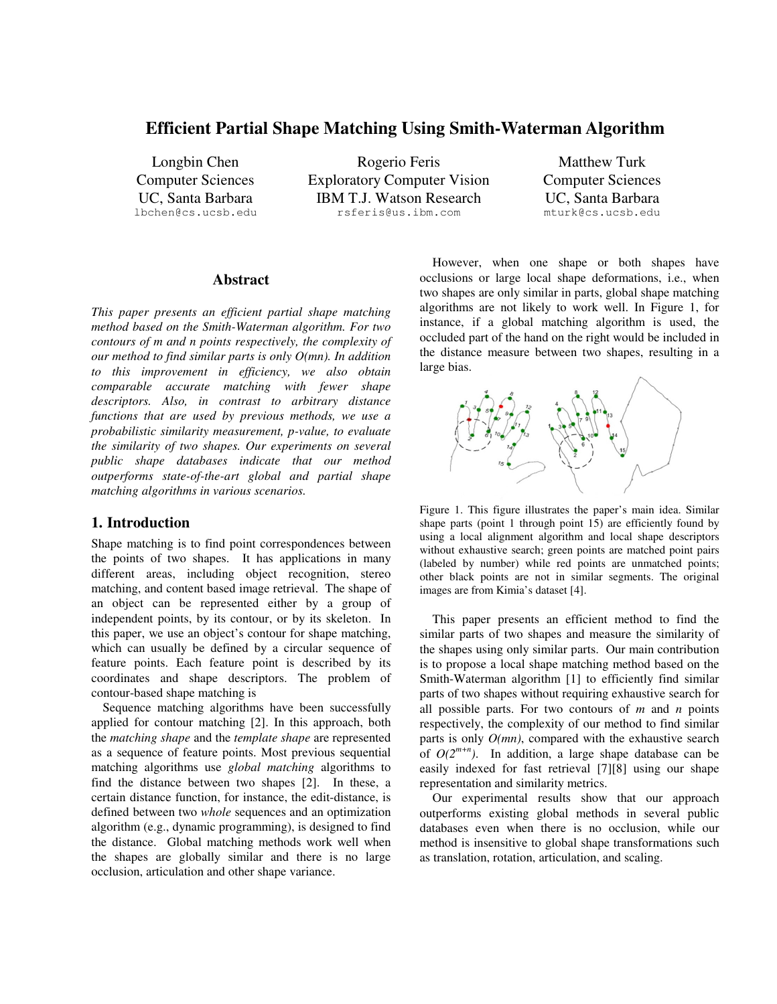# **Efficient Partial Shape Matching Using Smith-Waterman Algorithm**

Longbin Chen Computer Sciences UC, Santa Barbara lbchen@cs.ucsb.edu

Rogerio Feris Exploratory Computer Vision IBM T.J. Watson Research rsferis@us.ibm.com

Matthew Turk Computer Sciences UC, Santa Barbara mturk@cs.ucsb.edu

# **Abstract**

*This paper presents an efficient partial shape matching method based on the Smith-Waterman algorithm. For two contours of m and n points respectively, the complexity of our method to find similar parts is only O(mn). In addition to this improvement in efficiency, we also obtain comparable accurate matching with fewer shape descriptors. Also, in contrast to arbitrary distance functions that are used by previous methods, we use a probabilistic similarity measurement, p-value, to evaluate the similarity of two shapes. Our experiments on several public shape databases indicate that our method outperforms state-of-the-art global and partial shape matching algorithms in various scenarios.*

# **1. Introduction**

Shape matching is to find point correspondences between the points of two shapes. It has applications in many different areas, including object recognition, stereo matching, and content based image retrieval. The shape of an object can be represented either by a group of independent points, by its contour, or by its skeleton. In this paper, we use an object's contour for shape matching, which can usually be defined by a circular sequence of feature points. Each feature point is described by its coordinates and shape descriptors. The problem of contour-based shape matching is

Sequence matching algorithms have been successfully applied for contour matching [2]. In this approach, both the *matching shape* and the *template shape* are represented as a sequence of feature points. Most previous sequential matching algorithms use *global matching* algorithms to find the distance between two shapes [2]. In these, a certain distance function, for instance, the edit-distance, is defined between two *whole* sequences and an optimization algorithm (e.g., dynamic programming), is designed to find the distance. Global matching methods work well when the shapes are globally similar and there is no large occlusion, articulation and other shape variance.

 However, when one shape or both shapes have occlusions or large local shape deformations, i.e., when two shapes are only similar in parts, global shape matching algorithms are not likely to work well. In Figure 1, for instance, if a global matching algorithm is used, the occluded part of the hand on the right would be included in the distance measure between two shapes, resulting in a large bias.



Figure 1. This figure illustrates the paper's main idea. Similar shape parts (point 1 through point 15) are efficiently found by using a local alignment algorithm and local shape descriptors without exhaustive search; green points are matched point pairs (labeled by number) while red points are unmatched points; other black points are not in similar segments. The original images are from Kimia's dataset [4].

 This paper presents an efficient method to find the similar parts of two shapes and measure the similarity of the shapes using only similar parts. Our main contribution is to propose a local shape matching method based on the Smith-Waterman algorithm [1] to efficiently find similar parts of two shapes without requiring exhaustive search for all possible parts. For two contours of *m* and *n* points respectively, the complexity of our method to find similar parts is only *O(mn)*, compared with the exhaustive search of  $O(2^{m+n})$ . In addition, a large shape database can be easily indexed for fast retrieval [7][8] using our shape representation and similarity metrics.

 Our experimental results show that our approach outperforms existing global methods in several public databases even when there is no occlusion, while our method is insensitive to global shape transformations such as translation, rotation, articulation, and scaling.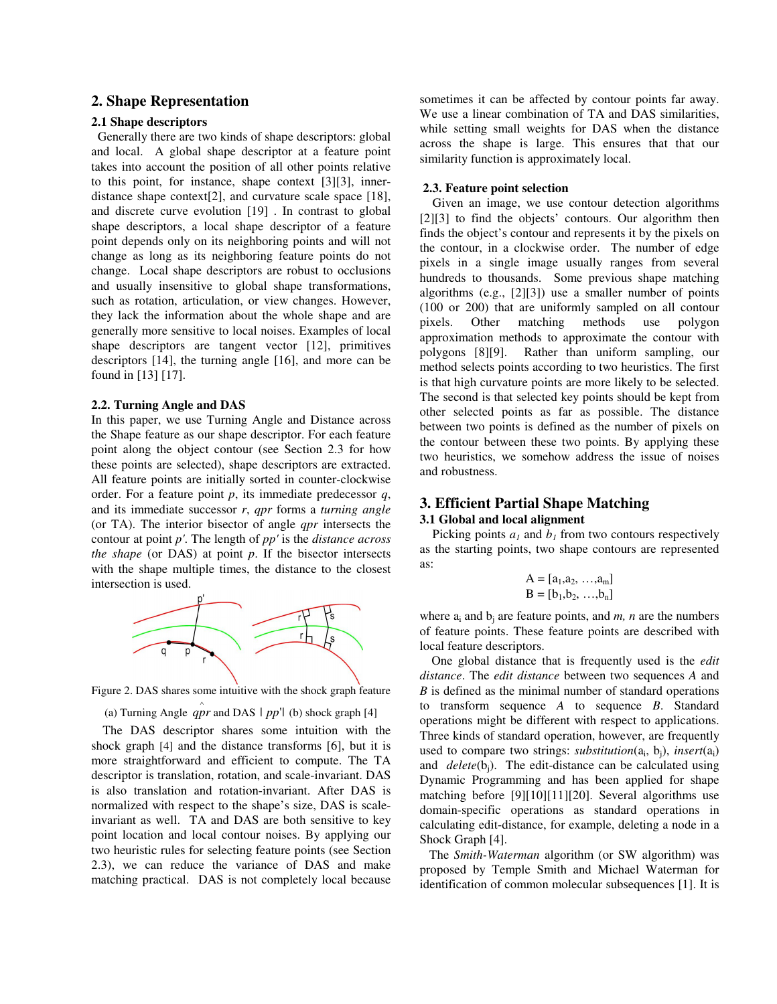## **2. Shape Representation**

#### **2.1 Shape descriptors**

 Generally there are two kinds of shape descriptors: global and local. A global shape descriptor at a feature point takes into account the position of all other points relative to this point, for instance, shape context [3][3], innerdistance shape context[2], and curvature scale space [18], and discrete curve evolution [19] . In contrast to global shape descriptors, a local shape descriptor of a feature point depends only on its neighboring points and will not change as long as its neighboring feature points do not change. Local shape descriptors are robust to occlusions and usually insensitive to global shape transformations, such as rotation, articulation, or view changes. However, they lack the information about the whole shape and are generally more sensitive to local noises. Examples of local shape descriptors are tangent vector [12], primitives descriptors [14], the turning angle [16], and more can be found in [13] [17].

#### **2.2. Turning Angle and DAS**

In this paper, we use Turning Angle and Distance across the Shape feature as our shape descriptor. For each feature point along the object contour (see Section 2.3 for how these points are selected), shape descriptors are extracted. All feature points are initially sorted in counter-clockwise order. For a feature point *p*, its immediate predecessor *q*, and its immediate successor *r*, *qpr* forms a *turning angle*  (or TA). The interior bisector of angle *qpr* intersects the contour at point *p'*. The length of *pp'* is the *distance across the shape* (or DAS) at point *p*. If the bisector intersects with the shape multiple times, the distance to the closest intersection is used.



Figure 2. DAS shares some intuitive with the shock graph feature

∧

(a) Turning Angle  $qpr$  and DAS  $|pp'|$  (b) shock graph [4]

The DAS descriptor shares some intuition with the shock graph [4] and the distance transforms [6], but it is more straightforward and efficient to compute. The TA descriptor is translation, rotation, and scale-invariant. DAS is also translation and rotation-invariant. After DAS is normalized with respect to the shape's size, DAS is scaleinvariant as well. TA and DAS are both sensitive to key point location and local contour noises. By applying our two heuristic rules for selecting feature points (see Section 2.3), we can reduce the variance of DAS and make matching practical. DAS is not completely local because sometimes it can be affected by contour points far away. We use a linear combination of TA and DAS similarities. while setting small weights for DAS when the distance across the shape is large. This ensures that that our similarity function is approximately local.

## **2.3. Feature point selection**

Given an image, we use contour detection algorithms [2][3] to find the objects' contours. Our algorithm then finds the object's contour and represents it by the pixels on the contour, in a clockwise order. The number of edge pixels in a single image usually ranges from several hundreds to thousands. Some previous shape matching algorithms (e.g., [2][3]) use a smaller number of points (100 or 200) that are uniformly sampled on all contour pixels. Other matching methods use polygon approximation methods to approximate the contour with polygons [8][9]. Rather than uniform sampling, our method selects points according to two heuristics. The first is that high curvature points are more likely to be selected. The second is that selected key points should be kept from other selected points as far as possible. The distance between two points is defined as the number of pixels on the contour between these two points. By applying these two heuristics, we somehow address the issue of noises and robustness.

# **3. Efficient Partial Shape Matching**

### **3.1 Global and local alignment**

Picking points  $a_1$  and  $b_1$  from two contours respectively as the starting points, two shape contours are represented as:

$$
A = [a_1, a_2, ..., a_m]
$$
  

$$
B = [b_1, b_2, ..., b_n]
$$

where  $a_i$  and  $b_j$  are feature points, and  $m$ ,  $n$  are the numbers of feature points. These feature points are described with local feature descriptors.

One global distance that is frequently used is the *edit distance*. The *edit distance* between two sequences *A* and *B* is defined as the minimal number of standard operations to transform sequence *A* to sequence *B*. Standard operations might be different with respect to applications. Three kinds of standard operation, however, are frequently used to compare two strings: *substitution*( $a_i$ ,  $b_j$ ), *insert*( $a_i$ ) and *delete*(bj). The edit-distance can be calculated using Dynamic Programming and has been applied for shape matching before [9][10][11][20]. Several algorithms use domain-specific operations as standard operations in calculating edit-distance, for example, deleting a node in a Shock Graph [4].

 The *Smith-Waterman* algorithm (or SW algorithm) was proposed by Temple Smith and Michael Waterman for identification of common molecular subsequences [1]. It is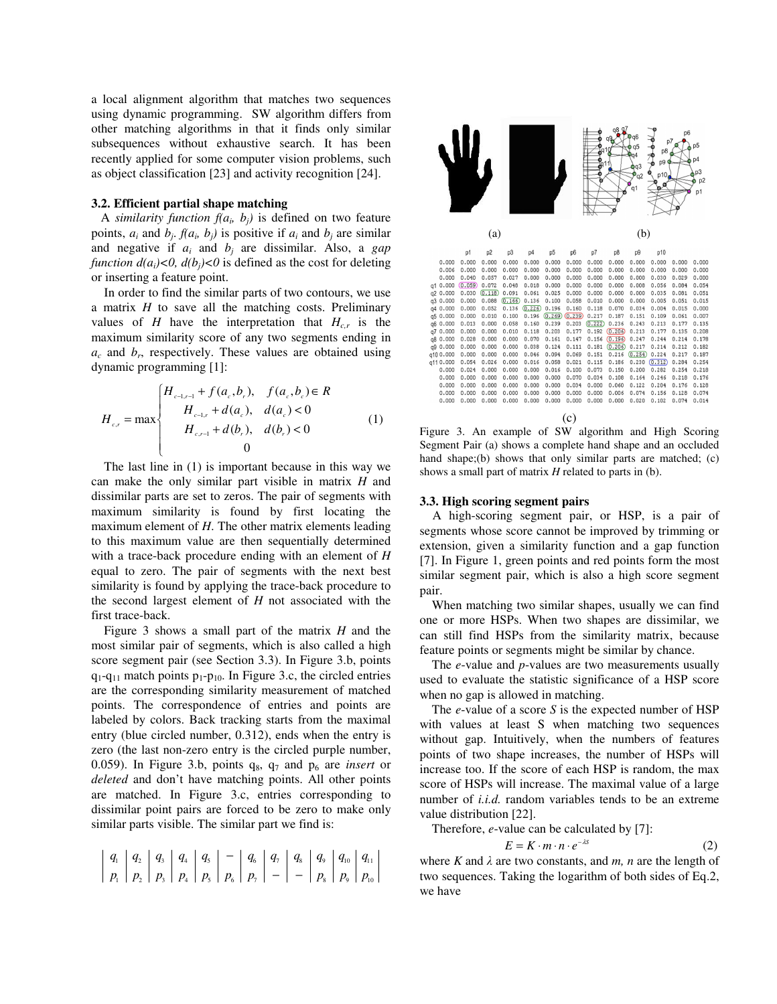a local alignment algorithm that matches two sequences using dynamic programming. SW algorithm differs from other matching algorithms in that it finds only similar subsequences without exhaustive search. It has been recently applied for some computer vision problems, such as object classification [23] and activity recognition [24].

#### **3.2. Efficient partial shape matching**

A *similarity function*  $f(a_i, b_j)$  is defined on two feature points,  $a_i$  and  $b_j$ .  $f(a_i, b_j)$  is positive if  $a_i$  and  $b_j$  are similar and negative if  $a_i$  and  $b_j$  are dissimilar. Also, a *gap function*  $d(a_i) < 0$ ,  $d(b_i) < 0$  is defined as the cost for deleting or inserting a feature point.

 In order to find the similar parts of two contours, we use a matrix *H* to save all the matching costs. Preliminary values of *H* have the interpretation that  $H_{cr}$  is the maximum similarity score of any two segments ending in  $a_c$  and  $b_r$ , respectively. These values are obtained using dynamic programming [1]:

$$
H_{c,r} = \max \begin{cases} H_{c-1,r-1} + f(a_c, b_r), & f(a_c, b_c) \in R \\ H_{c-1,r} + d(a_c), & d(a_c) < 0 \\ H_{c,r-1} + d(b_r), & d(b_r) < 0 \\ 0 \end{cases}
$$
(1)

The last line in (1) is important because in this way we can make the only similar part visible in matrix *H* and dissimilar parts are set to zeros. The pair of segments with maximum similarity is found by first locating the maximum element of *H*. The other matrix elements leading to this maximum value are then sequentially determined with a trace-back procedure ending with an element of *H* equal to zero. The pair of segments with the next best similarity is found by applying the trace-back procedure to the second largest element of *H* not associated with the first trace-back.

Figure 3 shows a small part of the matrix *H* and the most similar pair of segments, which is also called a high score segment pair (see Section 3.3). In Figure 3.b, points  $q_1 - q_{11}$  match points  $p_1 - p_{10}$ . In Figure 3.c, the circled entries are the corresponding similarity measurement of matched points. The correspondence of entries and points are labeled by colors. Back tracking starts from the maximal entry (blue circled number, 0.312), ends when the entry is zero (the last non-zero entry is the circled purple number, 0.059). In Figure 3.b, points  $q_8$ ,  $q_7$  and  $p_6$  are *insert* or *deleted* and don't have matching points. All other points are matched. In Figure 3.c, entries corresponding to dissimilar point pairs are forced to be zero to make only similar parts visible. The similar part we find is:

1 2 3 4 5 6 7 8 9 10 1 2 3 4 5 6 7 8 9 10 11 *p p p p p p p p p p q q q q q q q q q q q* − − −



Figure 3. An example of SW algorithm and High Scoring Segment Pair (a) shows a complete hand shape and an occluded hand shape;(b) shows that only similar parts are matched; (c) shows a small part of matrix *H* related to parts in (b).

#### **3.3. High scoring segment pairs**

 A high-scoring segment pair, or HSP, is a pair of segments whose score cannot be improved by trimming or extension, given a similarity function and a gap function [7]. In Figure 1, green points and red points form the most similar segment pair, which is also a high score segment pair.

When matching two similar shapes, usually we can find one or more HSPs. When two shapes are dissimilar, we can still find HSPs from the similarity matrix, because feature points or segments might be similar by chance.

The *e*-value and *p*-values are two measurements usually used to evaluate the statistic significance of a HSP score when no gap is allowed in matching.

The *e*-value of a score *S* is the expected number of HSP with values at least S when matching two sequences without gap. Intuitively, when the numbers of features points of two shape increases, the number of HSPs will increase too. If the score of each HSP is random, the max score of HSPs will increase. The maximal value of a large number of *i.i.d.* random variables tends to be an extreme value distribution [22].

Therefore, *e*-value can be calculated by [7]:

$$
E = K \cdot m \cdot n \cdot e^{-\lambda s} \tag{2}
$$

where *K* and  $\lambda$  are two constants, and *m*, *n* are the length of two sequences. Taking the logarithm of both sides of Eq.2, we have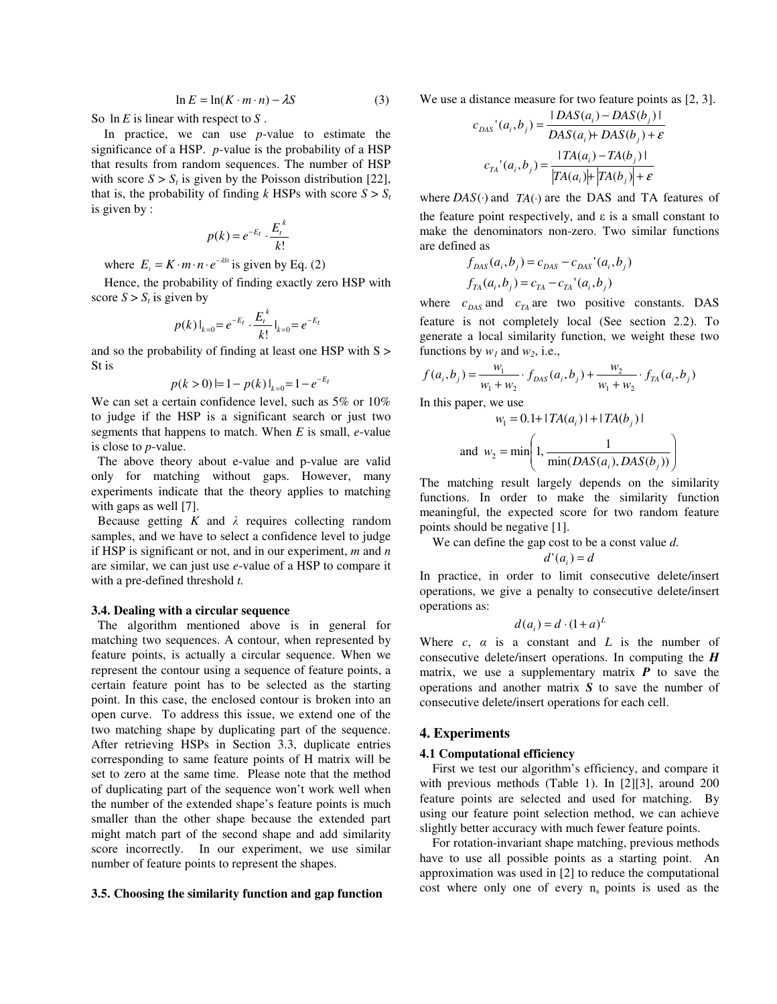$$
\ln E = \ln(K \cdot m \cdot n) - \lambda S \tag{3}
$$

So ln *E* is linear with respect to *S* .

 In practice, we can use *p*-value to estimate the significance of a HSP. *p*-value is the probability of a HSP that results from random sequences. The number of HSP with score  $S > S_t$  is given by the Poisson distribution [22], that is, the probability of finding *k* HSPs with score  $S > S_t$ is given by :

$$
p(k) = e^{-E_t} \cdot \frac{E_t^k}{k!}
$$

where  $E_t = K \cdot m \cdot n \cdot e^{-\lambda S t}$  is given by Eq. (2)

Hence, the probability of finding exactly zero HSP with score  $S > S_t$  is given by

$$
p(k)|_{k=0} = e^{-E_t} \cdot \frac{E_t^k}{k!} \big|_{k=0} = e^{-E_t}
$$

and so the probability of finding at least one HSP with S > St is

$$
p(k > 0) \left| = 1 - p(k) \right|_{k=0} = 1 - e^{-E_t}
$$

We can set a certain confidence level, such as 5% or 10% to judge if the HSP is a significant search or just two segments that happens to match. When *E* is small, *e*-value is close to *p*-value.

 The above theory about e-value and p-value are valid only for matching without gaps. However, many experiments indicate that the theory applies to matching with gaps as well [7].

Because getting  $K$  and  $\lambda$  requires collecting random samples, and we have to select a confidence level to judge if HSP is significant or not, and in our experiment, *m* and *n* are similar, we can just use *e*-value of a HSP to compare it with a pre-defined threshold *t.*

#### **3.4. Dealing with a circular sequence**

 The algorithm mentioned above is in general for matching two sequences. A contour, when represented by feature points, is actually a circular sequence. When we represent the contour using a sequence of feature points, a certain feature point has to be selected as the starting point. In this case, the enclosed contour is broken into an open curve. To address this issue, we extend one of the two matching shape by duplicating part of the sequence. After retrieving HSPs in Section 3.3, duplicate entries corresponding to same feature points of H matrix will be set to zero at the same time. Please note that the method of duplicating part of the sequence won't work well when the number of the extended shape's feature points is much smaller than the other shape because the extended part might match part of the second shape and add similarity score incorrectly. In our experiment, we use similar number of feature points to represent the shapes.

#### **3.5. Choosing the similarity function and gap function**

We use a distance measure for two feature points as [2, 3].

$$
c_{\text{DAS}}'(a_i, b_j) = \frac{|DAS(a_i) - DAS(b_j)|}{DAS(a_i) + DAS(b_j) + \varepsilon}
$$

$$
c_{\text{TA}}'(a_i, b_j) = \frac{|TA(a_i) - TA(b_j)|}{|TA(a_i)| + |TA(b_j)| + \varepsilon}
$$

where  $DAS(\cdot)$  and  $TA(\cdot)$  are the DAS and TA features of the feature point respectively, and  $ε$  is a small constant to make the denominators non-zero. Two similar functions are defined as

$$
f_{DAS}(a_i, b_j) = c_{DAS} - c_{DAS} (a_i, b_j)
$$
  

$$
f_{TA}(a_i, b_j) = c_{TA} - c_{TA} (a_i, b_j)
$$

where  $c_{\text{DAS}}$  and  $c_{\text{TA}}$  are two positive constants. DAS feature is not completely local (See section 2.2). To generate a local similarity function, we weight these two functions by  $w_1$  and  $w_2$ , i.e.,

$$
f(a_i, b_j) = \frac{w_1}{w_1 + w_2} \cdot f_{DAS}(a_i, b_j) + \frac{w_2}{w_1 + w_2} \cdot f_{TA}(a_i, b_j)
$$

In this paper, we use 1.0 | ( |) | ( |) *w*<sup>1</sup> = + *TA a<sup>i</sup>* + *TA b<sup>j</sup>*

$$
w_1 = 0.1 + 1TA(a_i) + 1TA(b_j)
$$
  
and 
$$
w_2 = \min\left(1, \frac{1}{\min(DAS(a_i), DAS(b_j))}\right)
$$

The matching result largely depends on the similarity functions. In order to make the similarity function meaningful, the expected score for two random feature points should be negative [1].

We can define the gap cost to be a const value *d.* 

$$
d'(a_i) = d
$$

In practice, in order to limit consecutive delete/insert operations, we give a penalty to consecutive delete/insert operations as:

$$
d(a_i) = d \cdot (1 + a)^L
$$

Where  $c$ ,  $\alpha$  is a constant and  $L$  is the number of consecutive delete/insert operations. In computing the *H* matrix, we use a supplementary matrix  $P$  to save the operations and another matrix *S* to save the number of consecutive delete/insert operations for each cell.

## **4. Experiments**

## **4.1 Computational efficiency**

 First we test our algorithm's efficiency, and compare it with previous methods (Table 1). In [2][3], around 200 feature points are selected and used for matching. By using our feature point selection method, we can achieve slightly better accuracy with much fewer feature points.

 For rotation-invariant shape matching, previous methods have to use all possible points as a starting point. An approximation was used in [2] to reduce the computational cost where only one of every  $n_s$  points is used as the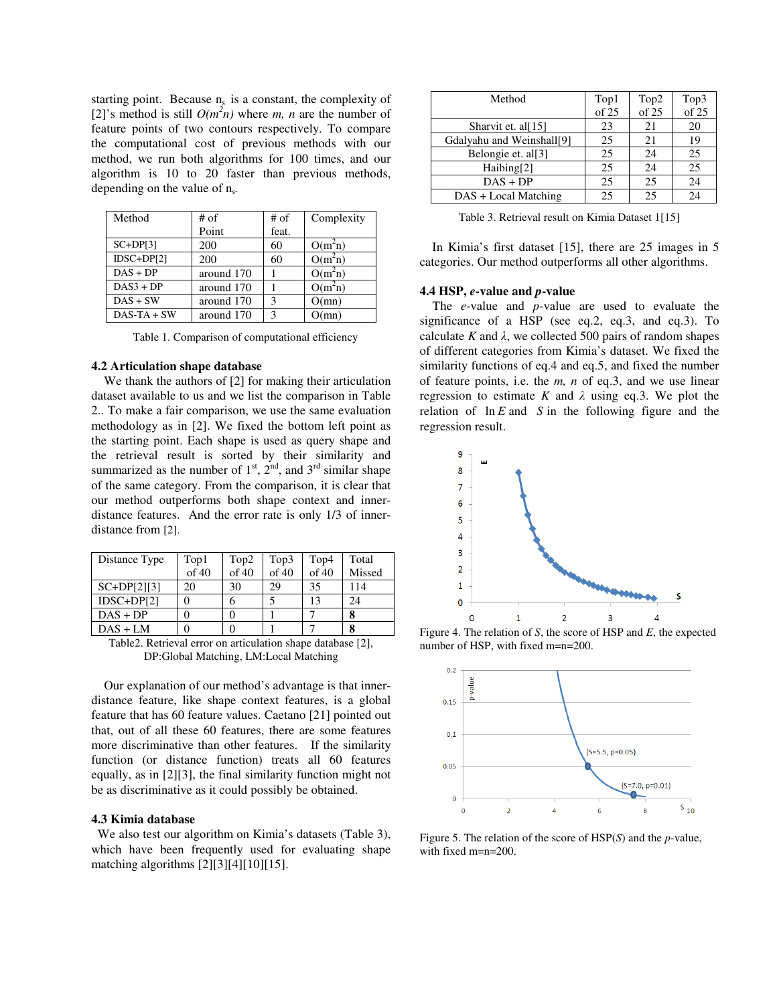starting point. Because  $n_s$  is a constant, the complexity of [2]'s method is still  $O(m^2n)$  where *m, n* are the number of feature points of two contours respectively. To compare the computational cost of previous methods with our method, we run both algorithms for 100 times, and our algorithm is 10 to 20 faster than previous methods, depending on the value of  $n_s$ .

| Method        | $#$ of     | $#$ of | Complexity |  |
|---------------|------------|--------|------------|--|
|               | Point      | feat.  |            |  |
| $SC+DP[3]$    | 200        | 60     | $O(m^2n)$  |  |
| $IDSC+DP[2]$  | 200        | 60     | $O(m^2n)$  |  |
| $DAS + DP$    | around 170 |        | $O(m^2n)$  |  |
| $DAS3 + DP$   | around 170 |        | $O(m^2n)$  |  |
| $DAS + SW$    | around 170 | 3      | O(mn)      |  |
| $DAS-TA + SW$ | around 170 | 3      | O(mn)      |  |

Table 1. Comparison of computational efficiency

#### **4.2 Articulation shape database**

We thank the authors of [2] for making their articulation dataset available to us and we list the comparison in Table 2.. To make a fair comparison, we use the same evaluation methodology as in [2]. We fixed the bottom left point as the starting point. Each shape is used as query shape and the retrieval result is sorted by their similarity and summarized as the number of  $1<sup>st</sup>$ ,  $2<sup>nd</sup>$ , and  $3<sup>rd</sup>$  similar shape of the same category. From the comparison, it is clear that our method outperforms both shape context and innerdistance features. And the error rate is only 1/3 of innerdistance from [2].

| Distance Type | Top1  | Top2  | Top3  | Top4  | Total  |
|---------------|-------|-------|-------|-------|--------|
|               | of 40 | of 40 | of 40 | of 40 | Missed |
| $SC+DP[2][3]$ | 20    | 30    | 29    | 35    | 114    |
| $IDSC+DP[2]$  |       |       |       | 13    | 24     |
| $DAS + DP$    |       |       |       |       |        |
| $DAS + LM$    |       |       |       |       |        |

Table2. Retrieval error on articulation shape database [2], DP:Global Matching, LM:Local Matching

Our explanation of our method's advantage is that innerdistance feature, like shape context features, is a global feature that has 60 feature values. Caetano [21] pointed out that, out of all these 60 features, there are some features more discriminative than other features. If the similarity function (or distance function) treats all 60 features equally, as in [2][3], the final similarity function might not be as discriminative as it could possibly be obtained.

#### **4.3 Kimia database**

 We also test our algorithm on Kimia's datasets (Table 3), which have been frequently used for evaluating shape matching algorithms [2][3][4][10][15].

| Method                    | Top1  | Top2  | Top3  |
|---------------------------|-------|-------|-------|
|                           | of 25 | of 25 | of 25 |
| Sharvit et. al[15]        | 23    | 21    | 20    |
| Gdalyahu and Weinshall[9] | 25    | 21    | 19    |
| Belongie et. al[3]        | 25    | 24    | 25    |
| Haibing[2]                | 25    | 24    | 25    |
| $DAS + DP$                | 25    | 25    | 24    |
| DAS + Local Matching      | 25    | 25    | 24    |

Table 3. Retrieval result on Kimia Dataset 1[15]

In Kimia's first dataset [15], there are 25 images in 5 categories. Our method outperforms all other algorithms.

## **4.4 HSP,** *e***-value and** *p***-value**

The *e*-value and *p*-value are used to evaluate the significance of a HSP (see eq.2, eq.3, and eq.3). To calculate  $K$  and  $\lambda$ , we collected 500 pairs of random shapes of different categories from Kimia's dataset. We fixed the similarity functions of eq.4 and eq.5, and fixed the number of feature points, i.e. the *m, n* of eq.3, and we use linear regression to estimate *K* and  $\lambda$  using eq.3. We plot the relation of ln *E* and *S* in the following figure and the regression result.



Figure 4. The relation of *S*, the score of HSP and *E*, the expected number of HSP, with fixed m=n=200.



Figure 5. The relation of the score of HSP(*S*) and the *p*-value, with fixed m=n=200.